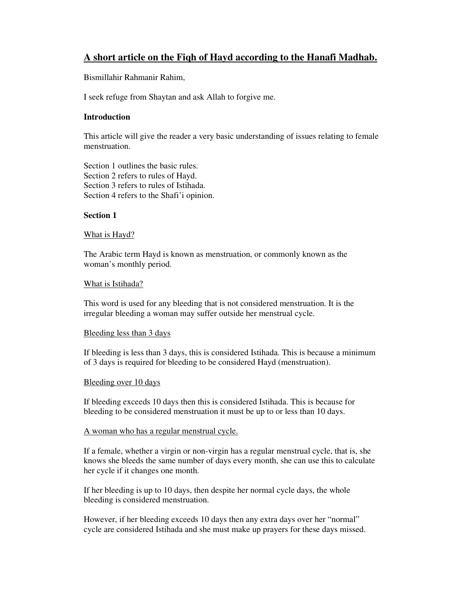# **A short article on the Fiqh of Hayd according to the Hanafi Madhab.**

Bismillahir Rahmanir Rahim,

I seek refuge from Shaytan and ask Allah to forgive me.

# **Introduction**

This article will give the reader a very basic understanding of issues relating to female menstruation.

Section 1 outlines the basic rules. Section 2 refers to rules of Hayd. Section 3 refers to rules of Istihada. Section 4 refers to the Shafi'i opinion.

# **Section 1**

## What is Hayd?

The Arabic term Hayd is known as menstruation, or commonly known as the woman's monthly period.

## What is Istihada?

This word is used for any bleeding that is not considered menstruation. It is the irregular bleeding a woman may suffer outside her menstrual cycle.

# Bleeding less than 3 days

If bleeding is less than 3 days, this is considered Istihada. This is because a minimum of 3 days is required for bleeding to be considered Hayd (menstruation).

# Bleeding over 10 days

If bleeding exceeds 10 days then this is considered Istihada. This is because for bleeding to be considered menstruation it must be up to or less than 10 days.

# A woman who has a regular menstrual cycle.

If a female, whether a virgin or non-virgin has a regular menstrual cycle, that is, she knows she bleeds the same number of days every month, she can use this to calculate her cycle if it changes one month.

If her bleeding is up to 10 days, then despite her normal cycle days, the whole bleeding is considered menstruation.

However, if her bleeding exceeds 10 days then any extra days over her "normal" cycle are considered Istihada and she must make up prayers for these days missed.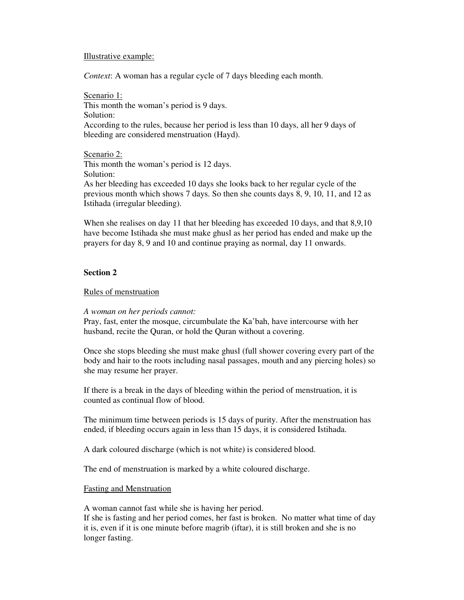## Illustrative example:

*Context*: A woman has a regular cycle of 7 days bleeding each month.

Scenario 1: This month the woman's period is 9 days. Solution: According to the rules, because her period is less than 10 days, all her 9 days of bleeding are considered menstruation (Hayd).

Scenario 2: This month the woman's period is 12 days. Solution: As her bleeding has exceeded 10 days she looks back to her regular cycle of the previous month which shows 7 days. So then she counts days 8, 9, 10, 11, and 12 as Istihada (irregular bleeding).

When she realises on day 11 that her bleeding has exceeded 10 days, and that 8,9,10 have become Istihada she must make ghusl as her period has ended and make up the prayers for day 8, 9 and 10 and continue praying as normal, day 11 onwards.

#### **Section 2**

## Rules of menstruation

#### *A woman on her periods cannot:*

Pray, fast, enter the mosque, circumbulate the Ka'bah, have intercourse with her husband, recite the Quran, or hold the Quran without a covering.

Once she stops bleeding she must make ghusl (full shower covering every part of the body and hair to the roots including nasal passages, mouth and any piercing holes) so she may resume her prayer.

If there is a break in the days of bleeding within the period of menstruation, it is counted as continual flow of blood.

The minimum time between periods is 15 days of purity. After the menstruation has ended, if bleeding occurs again in less than 15 days, it is considered Istihada.

A dark coloured discharge (which is not white) is considered blood.

The end of menstruation is marked by a white coloured discharge.

#### Fasting and Menstruation

A woman cannot fast while she is having her period.

If she is fasting and her period comes, her fast is broken. No matter what time of day it is, even if it is one minute before magrib (iftar), it is still broken and she is no longer fasting.